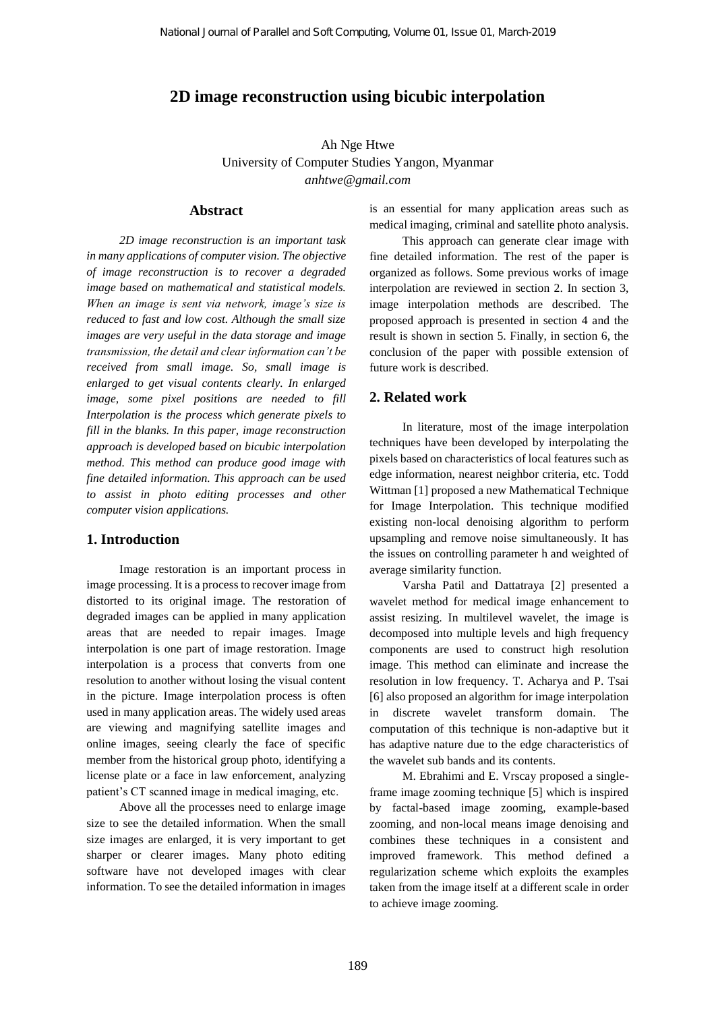# **2D image reconstruction using bicubic interpolation**

Ah Nge Htwe University of Computer Studies Yangon, Myanmar *[anhtwe@gmail.com](mailto:anhtwe@gmail.com)*

#### **Abstract**

*2D image reconstruction is an important task in many applications of computer vision. The objective of image reconstruction is to recover a degraded image based on mathematical and statistical models. When an image is sent via network, image's size is reduced to fast and low cost. Although the small size images are very useful in the data storage and image transmission, the detail and clear information can't be received from small image. So, small image is enlarged to get visual contents clearly. In enlarged image, some pixel positions are needed to fill Interpolation is the process which generate pixels to fill in the blanks. In this paper, image reconstruction approach is developed based on bicubic interpolation method. This method can produce good image with fine detailed information. This approach can be used to assist in photo editing processes and other computer vision applications.*

# **1. Introduction**

Image restoration is an important process in image processing. It is a process to recover image from distorted to its original image. The restoration of degraded images can be applied in many application areas that are needed to repair images. Image interpolation is one part of image restoration. Image interpolation is a process that converts from one resolution to another without losing the visual content in the picture. Image interpolation process is often used in many application areas. The widely used areas are viewing and magnifying satellite images and online images, seeing clearly the face of specific member from the historical group photo, identifying a license plate or a face in law enforcement, analyzing patient's CT scanned image in medical imaging, etc.

Above all the processes need to enlarge image size to see the detailed information. When the small size images are enlarged, it is very important to get sharper or clearer images. Many photo editing software have not developed images with clear information. To see the detailed information in images

is an essential for many application areas such as medical imaging, criminal and satellite photo analysis.

This approach can generate clear image with fine detailed information. The rest of the paper is organized as follows. Some previous works of image interpolation are reviewed in section 2. In section 3, image interpolation methods are described. The proposed approach is presented in section 4 and the result is shown in section 5. Finally, in section 6, the conclusion of the paper with possible extension of future work is described.

### **2. Related work**

In literature, most of the image interpolation techniques have been developed by interpolating the pixels based on characteristics of local features such as edge information, nearest neighbor criteria, etc. Todd Wittman [1] proposed a new Mathematical Technique for Image Interpolation. This technique modified existing non-local denoising algorithm to perform upsampling and remove noise simultaneously. It has the issues on controlling parameter h and weighted of average similarity function.

Varsha Patil and Dattatraya [2] presented a wavelet method for medical image enhancement to assist resizing. In multilevel wavelet, the image is decomposed into multiple levels and high frequency components are used to construct high resolution image. This method can eliminate and increase the resolution in low frequency. T. Acharya and P. Tsai [6] also proposed an algorithm for image interpolation in discrete wavelet transform domain. The computation of this technique is non-adaptive but it has adaptive nature due to the edge characteristics of the wavelet sub bands and its contents.

M. Ebrahimi and E. Vrscay proposed a singleframe image zooming technique [5] which is inspired by factal-based image zooming, example-based zooming, and non-local means image denoising and combines these techniques in a consistent and improved framework. This method defined a regularization scheme which exploits the examples taken from the image itself at a different scale in order to achieve image zooming.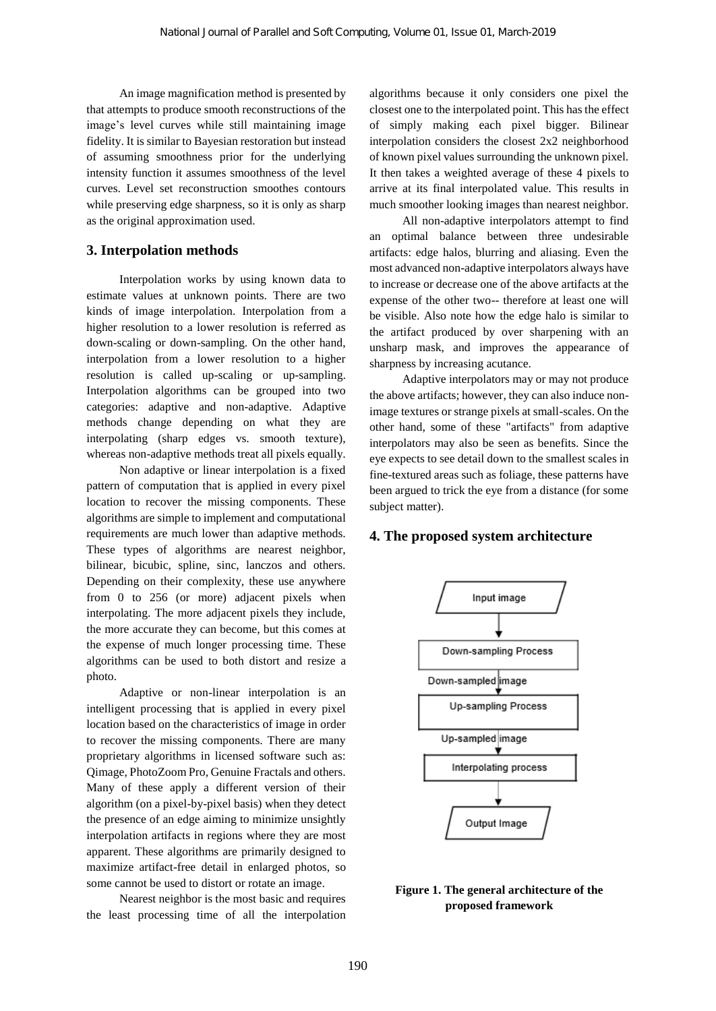An image magnification method is presented by that attempts to produce smooth reconstructions of the image's level curves while still maintaining image fidelity. It is similar to Bayesian restoration but instead of assuming smoothness prior for the underlying intensity function it assumes smoothness of the level curves. Level set reconstruction smoothes contours while preserving edge sharpness, so it is only as sharp as the original approximation used.

# **3. Interpolation methods**

Interpolation works by using known data to estimate values at unknown points. There are two kinds of image interpolation. Interpolation from a higher resolution to a lower resolution is referred as down-scaling or down-sampling. On the other hand, interpolation from a lower resolution to a higher resolution is called up-scaling or up-sampling. Interpolation algorithms can be grouped into two categories: adaptive and non-adaptive. Adaptive methods change depending on what they are interpolating (sharp edges vs. smooth texture), whereas non-adaptive methods treat all pixels equally.

Non adaptive or linear interpolation is a fixed pattern of computation that is applied in every pixel location to recover the missing components. These algorithms are simple to implement and computational requirements are much lower than adaptive methods. These types of algorithms are nearest neighbor, bilinear, bicubic, spline, sinc, lanczos and others. Depending on their complexity, these use anywhere from 0 to 256 (or more) adjacent pixels when interpolating. The more adjacent pixels they include, the more accurate they can become, but this comes at the expense of much longer processing time. These algorithms can be used to both distort and resize a photo.

Adaptive or non-linear interpolation is an intelligent processing that is applied in every pixel location based on the characteristics of image in order to recover the missing components. There are many proprietary algorithms in licensed software such as: Qimage, PhotoZoom Pro, Genuine Fractals and others. Many of these apply a different version of their algorithm (on a pixel-by-pixel basis) when they detect the presence of an edge aiming to minimize unsightly interpolation artifacts in regions where they are most apparent. These algorithms are primarily designed to maximize artifact-free detail in enlarged photos, so some cannot be used to distort or rotate an image.

Nearest neighbor is the most basic and requires the least processing time of all the interpolation algorithms because it only considers one pixel the closest one to the interpolated point. This has the effect of simply making each pixel bigger. Bilinear interpolation considers the closest 2x2 neighborhood of known pixel values surrounding the unknown pixel. It then takes a weighted average of these 4 pixels to arrive at its final interpolated value. This results in much smoother looking images than nearest neighbor.

All non-adaptive interpolators attempt to find an optimal balance between three undesirable artifacts: edge halos, blurring and aliasing. Even the most advanced non-adaptive interpolators always have to increase or decrease one of the above artifacts at the expense of the other two-- therefore at least one will be visible. Also note how the edge halo is similar to the artifact produced by over sharpening with an unsharp mask, and improves the appearance of sharpness by increasing acutance.

Adaptive interpolators may or may not produce the above artifacts; however, they can also induce nonimage textures or strange pixels at small-scales. On the other hand, some of these "artifacts" from adaptive interpolators may also be seen as benefits. Since the eye expects to see detail down to the smallest scales in fine-textured areas such as foliage, these patterns have been argued to trick the eye from a distance (for some subject matter).

## **4. The proposed system architecture**



**Figure 1. The general architecture of the proposed framework**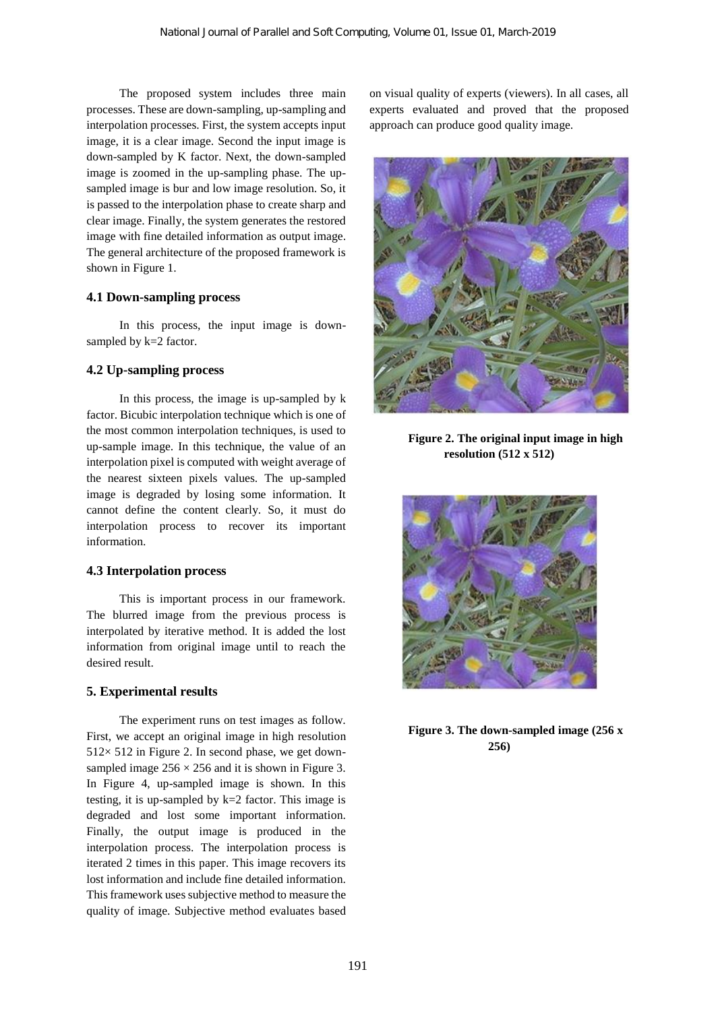The proposed system includes three main processes. These are down-sampling, up-sampling and interpolation processes. First, the system accepts input image, it is a clear image. Second the input image is down-sampled by K factor. Next, the down-sampled image is zoomed in the up-sampling phase. The upsampled image is bur and low image resolution. So, it is passed to the interpolation phase to create sharp and clear image. Finally, the system generates the restored image with fine detailed information as output image. The general architecture of the proposed framework is shown in Figure 1.

## **4.1 Down-sampling process**

In this process, the input image is downsampled by k=2 factor.

### **4.2 Up-sampling process**

In this process, the image is up-sampled by k factor. Bicubic interpolation technique which is one of the most common interpolation techniques, is used to up-sample image. In this technique, the value of an interpolation pixel is computed with weight average of the nearest sixteen pixels values. The up-sampled image is degraded by losing some information. It cannot define the content clearly. So, it must do interpolation process to recover its important information.

#### **4.3 Interpolation process**

This is important process in our framework. The blurred image from the previous process is interpolated by iterative method. It is added the lost information from original image until to reach the desired result.

#### **5. Experimental results**

The experiment runs on test images as follow. First, we accept an original image in high resolution  $512 \times 512$  in Figure 2. In second phase, we get downsampled image  $256 \times 256$  and it is shown in Figure 3. In Figure 4, up-sampled image is shown. In this testing, it is up-sampled by  $k=2$  factor. This image is degraded and lost some important information. Finally, the output image is produced in the interpolation process. The interpolation process is iterated 2 times in this paper. This image recovers its lost information and include fine detailed information. This framework uses subjective method to measure the quality of image. Subjective method evaluates based

on visual quality of experts (viewers). In all cases, all experts evaluated and proved that the proposed approach can produce good quality image.



**Figure 2. The original input image in high resolution (512 x 512)**



**Figure 3. The down-sampled image (256 x 256)**